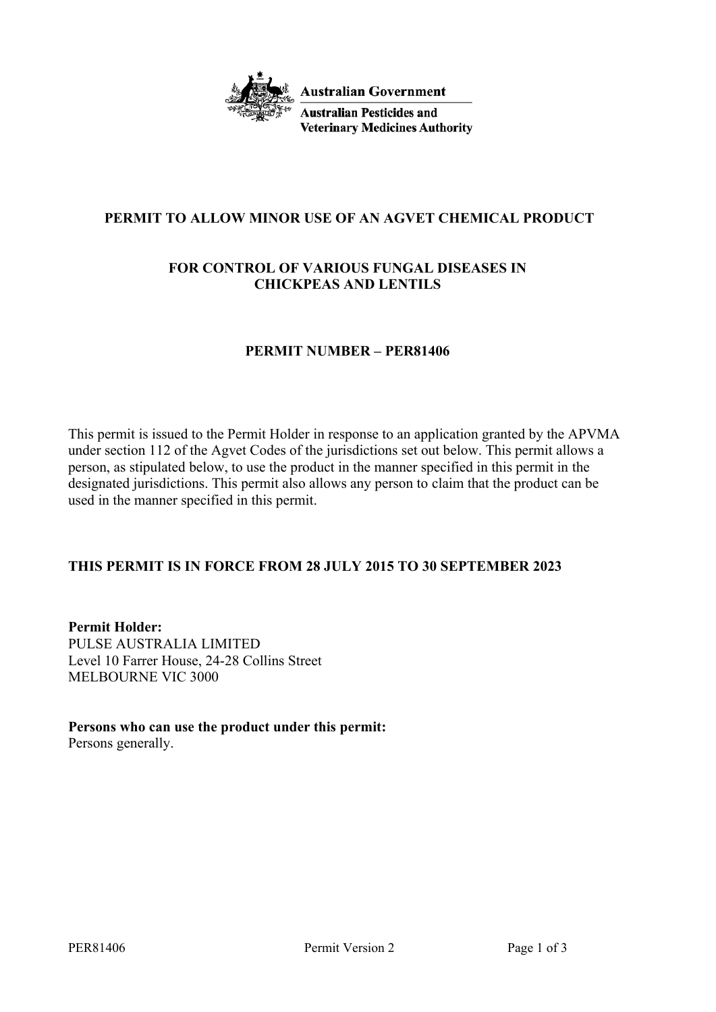

# **PERMIT TO ALLOW MINOR USE OF AN AGVET CHEMICAL PRODUCT**

## **FOR CONTROL OF VARIOUS FUNGAL DISEASES IN CHICKPEAS AND LENTILS**

#### **PERMIT NUMBER – PER81406**

This permit is issued to the Permit Holder in response to an application granted by the APVMA under section 112 of the Agvet Codes of the jurisdictions set out below. This permit allows a person, as stipulated below, to use the product in the manner specified in this permit in the designated jurisdictions. This permit also allows any person to claim that the product can be used in the manner specified in this permit.

# **THIS PERMIT IS IN FORCE FROM 28 JULY 2015 TO 30 SEPTEMBER 2023**

**Permit Holder:** PULSE AUSTRALIA LIMITED Level 10 Farrer House, 24-28 Collins Street MELBOURNE VIC 3000

**Persons who can use the product under this permit:** Persons generally.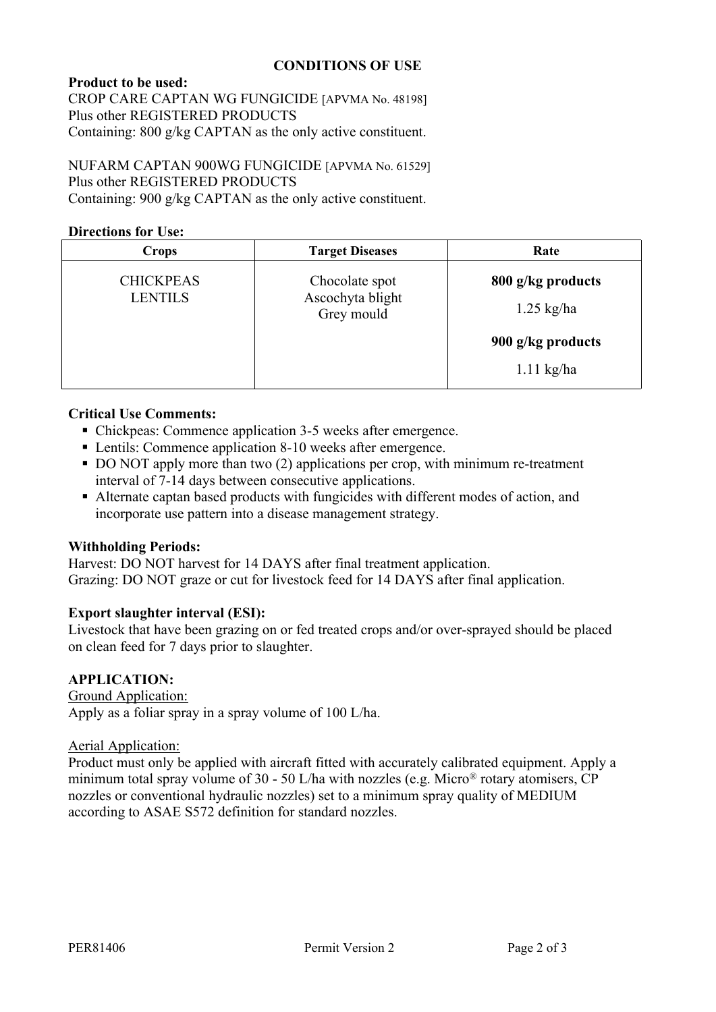### **CONDITIONS OF USE**

## **Product to be used:**

CROP CARE CAPTAN WG FUNGICIDE [APVMA No. 48198] Plus other REGISTERED PRODUCTS Containing: 800 g/kg CAPTAN as the only active constituent.

NUFARM CAPTAN 900WG FUNGICIDE [APVMA No. 61529] Plus other REGISTERED PRODUCTS Containing: 900 g/kg CAPTAN as the only active constituent.

#### **Directions for Use:**

| <b>Crops</b>                       | <b>Target Diseases</b>                           | Rate              |
|------------------------------------|--------------------------------------------------|-------------------|
| <b>CHICKPEAS</b><br><b>LENTILS</b> | Chocolate spot<br>Ascochyta blight<br>Grey mould | 800 g/kg products |
|                                    |                                                  | $1.25$ kg/ha      |
|                                    |                                                  | 900 g/kg products |
|                                    |                                                  | $1.11$ kg/ha      |

## **Critical Use Comments:**

- Chickpeas: Commence application 3-5 weeks after emergence.
- Lentils: Commence application 8-10 weeks after emergence.
- DO NOT apply more than two (2) applications per crop, with minimum re-treatment interval of 7-14 days between consecutive applications.
- Alternate captan based products with fungicides with different modes of action, and incorporate use pattern into a disease management strategy.

# **Withholding Periods:**

Harvest: DO NOT harvest for 14 DAYS after final treatment application. Grazing: DO NOT graze or cut for livestock feed for 14 DAYS after final application.

# **Export slaughter interval (ESI):**

Livestock that have been grazing on or fed treated crops and/or over-sprayed should be placed on clean feed for 7 days prior to slaughter.

# **APPLICATION:**

Ground Application: Apply as a foliar spray in a spray volume of 100 L/ha.

#### Aerial Application:

Product must only be applied with aircraft fitted with accurately calibrated equipment. Apply a minimum total spray volume of 30 - 50 L/ha with nozzles (e.g. Micro® rotary atomisers, CP nozzles or conventional hydraulic nozzles) set to a minimum spray quality of MEDIUM according to ASAE S572 definition for standard nozzles.